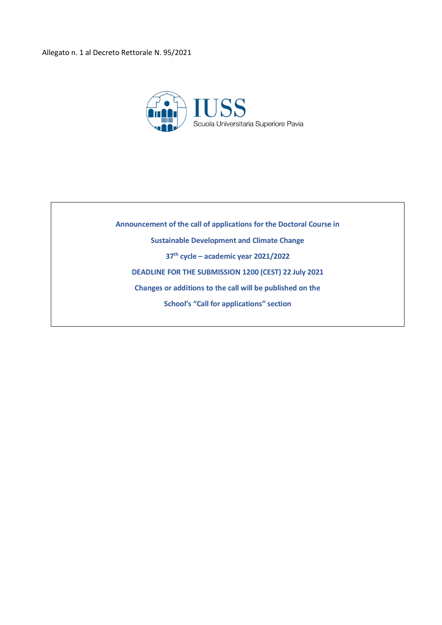

**Announcement of the call of applications for the Doctoral Course in Sustainable Development and Climate Change 37th cycle – academic year 2021/2022 DEADLINE FOR THE SUBMISSION 1200 (CEST) 22 July 2021 Changes or additions to the call will be published on the School's "Call for applications" section**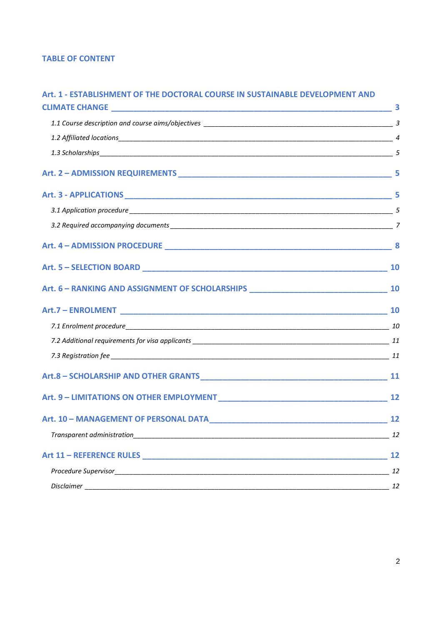# **TABLE OF CONTENT**

# **Art. 1 - [ESTABLISHMENT OF THE DOCTORAL COURSE IN SUSTAINABLE DEVELOPMENT AND](#page-2-0)**

| Art. 2 - ADMISSION REQUIREMENTS 5 |  |
|-----------------------------------|--|
|                                   |  |
|                                   |  |
|                                   |  |
| Art. 4 - ADMISSION PROCEDURE 8    |  |
|                                   |  |
|                                   |  |
|                                   |  |
|                                   |  |
|                                   |  |
|                                   |  |
|                                   |  |
|                                   |  |
|                                   |  |
|                                   |  |
|                                   |  |
|                                   |  |
|                                   |  |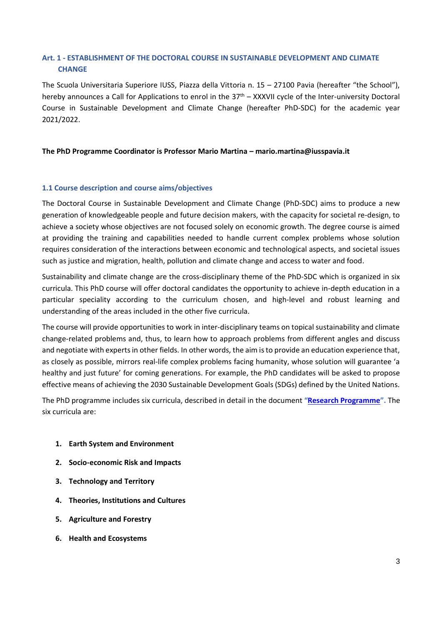# <span id="page-2-0"></span>**Art. 1 - ESTABLISHMENT OF THE DOCTORAL COURSE IN SUSTAINABLE DEVELOPMENT AND CLIMATE CHANGE**

The Scuola Universitaria Superiore IUSS, Piazza della Vittoria n. 15 – 27100 Pavia (hereafter "the School"), hereby announces a Call for Applications to enrol in the 37<sup>th</sup> – XXXVII cycle of the Inter-university Doctoral Course in Sustainable Development and Climate Change (hereafter PhD-SDC) for the academic year 2021/2022.

### **The PhD Programme Coordinator is Professor Mario Martina – mario.martina@iusspavia.it**

#### <span id="page-2-1"></span>**1.1 Course description and course aims/objectives**

The Doctoral Course in Sustainable Development and Climate Change (PhD-SDC) aims to produce a new generation of knowledgeable people and future decision makers, with the capacity for societal re-design, to achieve a society whose objectives are not focused solely on economic growth. The degree course is aimed at providing the training and capabilities needed to handle current complex problems whose solution requires consideration of the interactions between economic and technological aspects, and societal issues such as justice and migration, health, pollution and climate change and access to water and food.

Sustainability and climate change are the cross-disciplinary theme of the PhD-SDC which is organized in six curricula. This PhD course will offer doctoral candidates the opportunity to achieve in-depth education in a particular speciality according to the curriculum chosen, and high-level and robust learning and understanding of the areas included in the other five curricula.

The course will provide opportunities to work in inter-disciplinary teams on topical sustainability and climate change-related problems and, thus, to learn how to approach problems from different angles and discuss and negotiate with experts in other fields. In other words, the aim is to provide an education experience that, as closely as possible, mirrors real-life complex problems facing humanity, whose solution will guarantee 'a healthy and just future' for coming generations. For example, the PhD candidates will be asked to propose effective means of achieving the 2030 Sustainable Development Goals (SDGs) defined by the United Nations.

The PhD programme includes six curricula, described in detail in the document **"[Research Programme](http://www.iusspavia.it/phd-sdc/research_programme)".** The six curricula are:

- **1. Earth System and Environment**
- **2. Socio-economic Risk and Impacts**
- **3. Technology and Territory**
- **4. Theories, Institutions and Cultures**
- **5. Agriculture and Forestry**
- **6. Health and Ecosystems**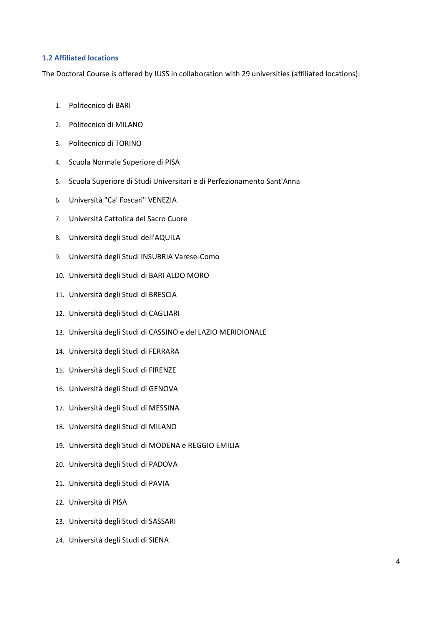#### <span id="page-3-0"></span>**1.2 Affiliated locations**

The Doctoral Course is offered by IUSS in collaboration with 29 universities (affiliated locations):

- 1. Politecnico di BARI
- 2. Politecnico di MILANO
- 3. Politecnico di TORINO
- 4. Scuola Normale Superiore di PISA
- 5. Scuola Superiore di Studi Universitari e di Perfezionamento Sant'Anna
- 6. Università "Ca' Foscari" VENEZIA
- 7. Università Cattolica del Sacro Cuore
- 8. Università degli Studi dell'AQUILA
- 9. Università degli Studi INSUBRIA Varese-Como
- 10. Università degli Studi di BARI ALDO MORO
- 11. Università degli Studi di BRESCIA
- 12. Università degli Studi di CAGLIARI
- 13. Università degli Studi di CASSINO e del LAZIO MERIDIONALE
- 14. Università degli Studi di FERRARA
- 15. Università degli Studi di FIRENZE
- 16. Università degli Studi di GENOVA
- 17. Università degli Studi di MESSINA
- 18. Università degli Studi di MILANO
- 19. Università degli Studi di MODENA e REGGIO EMILIA
- 20. Università degli Studi di PADOVA
- 21. Università degli Studi di PAVIA
- 22. Università di PISA
- 23. Università degli Studi di SASSARI
- 24. Università degli Studi di SIENA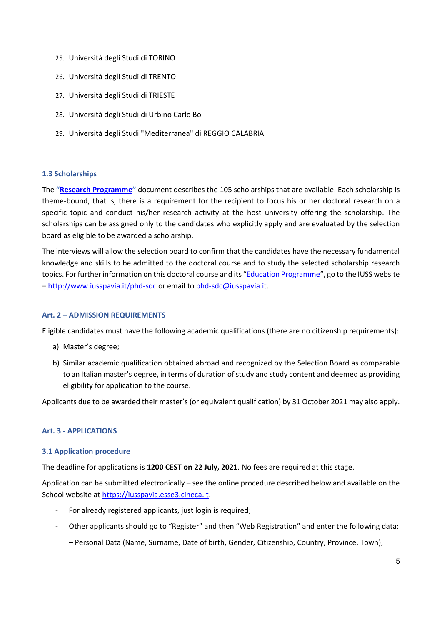- 25. Università degli Studi di TORINO
- 26. Università degli Studi di TRENTO
- 27. Università degli Studi di TRIESTE
- 28. Università degli Studi di Urbino Carlo Bo
- 29. Università degli Studi "Mediterranea" di REGGIO CALABRIA

### <span id="page-4-0"></span>**1.3 Scholarships**

The **"[Research Programme](http://www.iusspavia.it/phd-sdc/research_programme)"** document describes the 105 scholarships that are available. Each scholarship is theme-bound, that is, there is a requirement for the recipient to focus his or her doctoral research on a specific topic and conduct his/her research activity at the host university offering the scholarship. The scholarships can be assigned only to the candidates who explicitly apply and are evaluated by the selection board as eligible to be awarded a scholarship.

The interviews will allow the selection board to confirm that the candidates have the necessary fundamental knowledge and skills to be admitted to the doctoral course and to study the selected scholarship research topics. For further information on this doctoral course and its "[Education Programme](/Volumes/GoogleDrive/My%20Drive/Progetti/2019%20-%20Dottorato%20SSCC/Bando/Education%20Programme)", go to the IUSS website – <http://www.iusspavia.it/phd-sdc> or email to [phd-sdc@iusspavia.it.](mailto:phd-sdc@iusspavia.it)

### <span id="page-4-1"></span>**Art. 2 – ADMISSION REQUIREMENTS**

Eligible candidates must have the following academic qualifications (there are no citizenship requirements):

- a) Master's degree;
- b) Similar academic qualification obtained abroad and recognized by the Selection Board as comparable to an Italian master's degree, in terms of duration of study and study content and deemed as providing eligibility for application to the course.

<span id="page-4-2"></span>Applicants due to be awarded their master's (or equivalent qualification) by 31 October 2021 may also apply.

# **Art. 3 - APPLICATIONS**

### <span id="page-4-3"></span>**3.1 Application procedure**

The deadline for applications is **1200 CEST on 22 July, 2021**. No fees are required at this stage.

Application can be submitted electronically – see the online procedure described below and available on the School website at [https://iusspavia.esse3.cineca.it.](https://iusspavia.esse3.cineca.it/)

- For already registered applicants, just login is required;
- Other applicants should go to "Register" and then "Web Registration" and enter the following data: – Personal Data (Name, Surname, Date of birth, Gender, Citizenship, Country, Province, Town);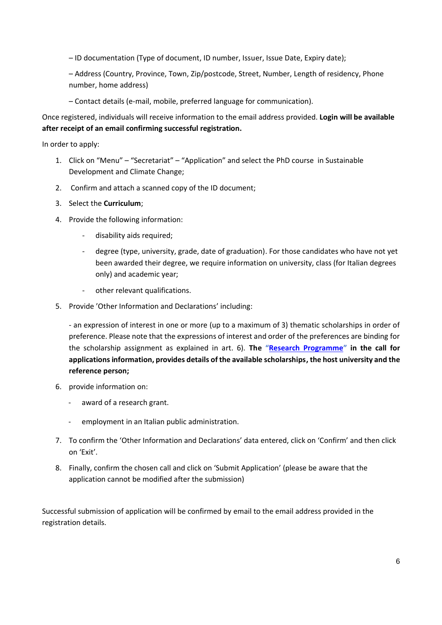– ID documentation (Type of document, ID number, Issuer, Issue Date, Expiry date);

– Address (Country, Province, Town, Zip/postcode, Street, Number, Length of residency, Phone number, home address)

– Contact details (e-mail, mobile, preferred language for communication).

Once registered, individuals will receive information to the email address provided. **Login will be available after receipt of an email confirming successful registration.**

In order to apply:

- 1. Click on "Menu" "Secretariat" "Application" and select the PhD course in Sustainable Development and Climate Change;
- 2. Confirm and attach a scanned copy of the ID document;
- 3. Select the **Curriculum**;
- 4. Provide the following information:
	- disability aids required;
	- degree (type, university, grade, date of graduation). For those candidates who have not yet been awarded their degree, we require information on university, class (for Italian degrees only) and academic year;
	- other relevant qualifications.
- 5. Provide 'Other Information and Declarations' including:

- an expression of interest in one or more (up to a maximum of 3) thematic scholarships in order of preference. Please note that the expressions of interest and order of the preferences are binding for the scholarship assignment as explained in art. 6). **The "[Research Programme](http://www.iusspavia.it/phd-sdc/research_programme)" in the call for applications information, provides details of the available scholarships, the host university and the reference person;**

- 6. provide information on:
	- award of a research grant.
	- employment in an Italian public administration.
- 7. To confirm the 'Other Information and Declarations' data entered, click on 'Confirm' and then click on 'Exit'.
- 8. Finally, confirm the chosen call and click on 'Submit Application' (please be aware that the application cannot be modified after the submission)

Successful submission of application will be confirmed by email to the email address provided in the registration details.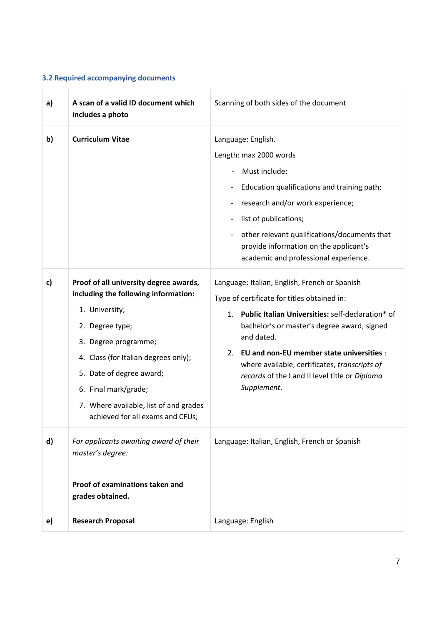# <span id="page-6-0"></span>**3.2 Required accompanying documents**

| a) | A scan of a valid ID document which<br>includes a photo                                                                                                                                                                                                                                                               | Scanning of both sides of the document                                                                                                                                                                                                                                                                                                                                                 |
|----|-----------------------------------------------------------------------------------------------------------------------------------------------------------------------------------------------------------------------------------------------------------------------------------------------------------------------|----------------------------------------------------------------------------------------------------------------------------------------------------------------------------------------------------------------------------------------------------------------------------------------------------------------------------------------------------------------------------------------|
| b) | <b>Curriculum Vitae</b>                                                                                                                                                                                                                                                                                               | Language: English.<br>Length: max 2000 words<br>Must include:<br>Education qualifications and training path;<br>research and/or work experience;<br>list of publications;<br>other relevant qualifications/documents that<br>provide information on the applicant's<br>academic and professional experience.                                                                           |
| c) | Proof of all university degree awards,<br>including the following information:<br>1. University;<br>2. Degree type;<br>3. Degree programme;<br>4. Class (for Italian degrees only);<br>5. Date of degree award;<br>6. Final mark/grade;<br>7. Where available, list of and grades<br>achieved for all exams and CFUs; | Language: Italian, English, French or Spanish<br>Type of certificate for titles obtained in:<br>Public Italian Universities: self-declaration* of<br>1.<br>bachelor's or master's degree award, signed<br>and dated.<br>2. EU and non-EU member state universities :<br>where available, certificates, transcripts of<br>records of the I and II level title or Diploma<br>Supplement. |
| d) | For applicants awaiting award of their<br>master's degree:<br>Proof of examinations taken and<br>grades obtained.                                                                                                                                                                                                     | Language: Italian, English, French or Spanish                                                                                                                                                                                                                                                                                                                                          |
| e) | <b>Research Proposal</b>                                                                                                                                                                                                                                                                                              | Language: English                                                                                                                                                                                                                                                                                                                                                                      |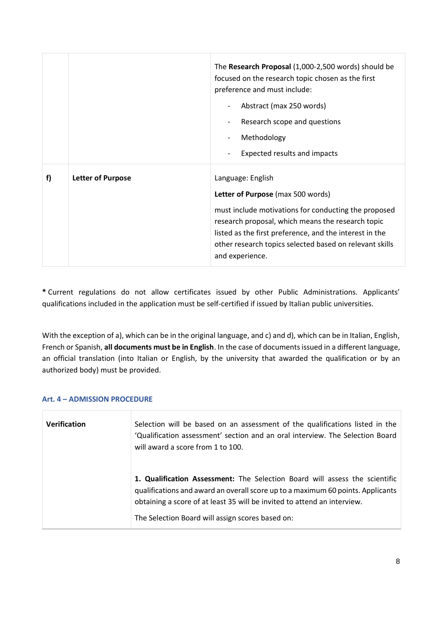|    |                          | The Research Proposal (1,000-2,500 words) should be<br>focused on the research topic chosen as the first<br>preference and must include:<br>Abstract (max 250 words)<br>Research scope and questions<br>Methodology<br>Expected results and impacts                                                          |
|----|--------------------------|--------------------------------------------------------------------------------------------------------------------------------------------------------------------------------------------------------------------------------------------------------------------------------------------------------------|
| f) | <b>Letter of Purpose</b> | Language: English<br>Letter of Purpose (max 500 words)<br>must include motivations for conducting the proposed<br>research proposal, which means the research topic<br>listed as the first preference, and the interest in the<br>other research topics selected based on relevant skills<br>and experience. |

**\*** Current regulations do not allow certificates issued by other Public Administrations. Applicants' qualifications included in the application must be self-certified if issued by Italian public universities.

With the exception of a), which can be in the original language, and c) and d), which can be in Italian, English, French or Spanish, **all documents must be in English**. In the case of documents issued in a different language, an official translation (into Italian or English, by the university that awarded the qualification or by an authorized body) must be provided.

# <span id="page-7-0"></span>**Art. 4 – ADMISSION PROCEDURE**

| <b>Verification</b> | Selection will be based on an assessment of the qualifications listed in the<br>'Qualification assessment' section and an oral interview. The Selection Board<br>will award a score from 1 to 100.                                                                                             |
|---------------------|------------------------------------------------------------------------------------------------------------------------------------------------------------------------------------------------------------------------------------------------------------------------------------------------|
|                     | 1. Qualification Assessment: The Selection Board will assess the scientific<br>qualifications and award an overall score up to a maximum 60 points. Applicants<br>obtaining a score of at least 35 will be invited to attend an interview.<br>The Selection Board will assign scores based on: |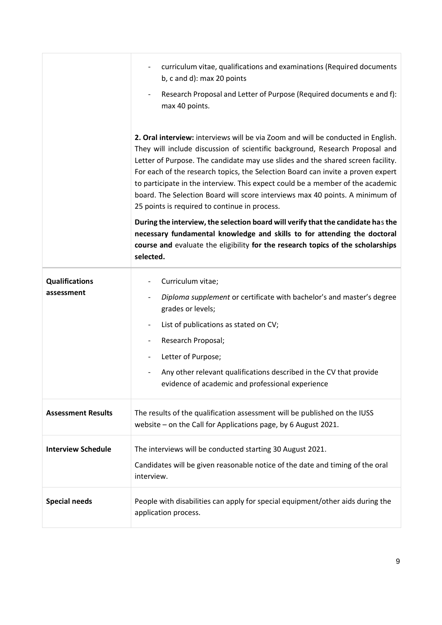|                                     | curriculum vitae, qualifications and examinations (Required documents<br>b, c and d): max 20 points<br>Research Proposal and Letter of Purpose (Required documents e and f):<br>max 40 points.                                                                                                                                                                                                                                                                                                                                                            |
|-------------------------------------|-----------------------------------------------------------------------------------------------------------------------------------------------------------------------------------------------------------------------------------------------------------------------------------------------------------------------------------------------------------------------------------------------------------------------------------------------------------------------------------------------------------------------------------------------------------|
|                                     | 2. Oral interview: interviews will be via Zoom and will be conducted in English.<br>They will include discussion of scientific background, Research Proposal and<br>Letter of Purpose. The candidate may use slides and the shared screen facility.<br>For each of the research topics, the Selection Board can invite a proven expert<br>to participate in the interview. This expect could be a member of the academic<br>board. The Selection Board will score interviews max 40 points. A minimum of<br>25 points is required to continue in process. |
|                                     | During the interview, the selection board will verify that the candidate has the<br>necessary fundamental knowledge and skills to for attending the doctoral<br>course and evaluate the eligibility for the research topics of the scholarships<br>selected.                                                                                                                                                                                                                                                                                              |
| <b>Qualifications</b><br>assessment | Curriculum vitae;<br>Diploma supplement or certificate with bachelor's and master's degree<br>grades or levels;<br>List of publications as stated on CV;<br>Research Proposal;<br>$\qquad \qquad \blacksquare$<br>Letter of Purpose;<br>$\qquad \qquad \blacksquare$<br>Any other relevant qualifications described in the CV that provide<br>evidence of academic and professional experience                                                                                                                                                            |
| <b>Assessment Results</b>           | The results of the qualification assessment will be published on the IUSS<br>website - on the Call for Applications page, by 6 August 2021.                                                                                                                                                                                                                                                                                                                                                                                                               |
| <b>Interview Schedule</b>           | The interviews will be conducted starting 30 August 2021.<br>Candidates will be given reasonable notice of the date and timing of the oral<br>interview.                                                                                                                                                                                                                                                                                                                                                                                                  |
| <b>Special needs</b>                | People with disabilities can apply for special equipment/other aids during the<br>application process.                                                                                                                                                                                                                                                                                                                                                                                                                                                    |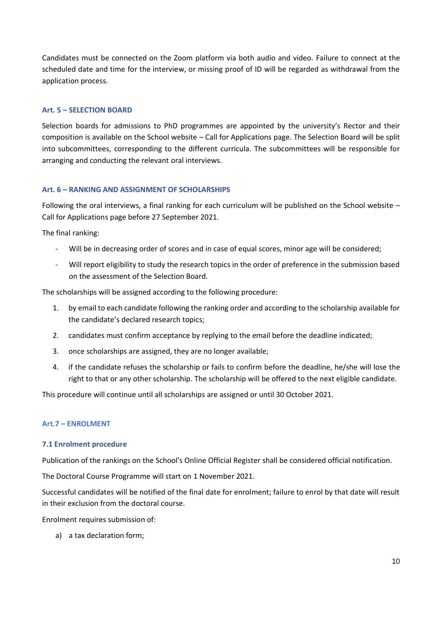Candidates must be connected on the Zoom platform via both audio and video. Failure to connect at the scheduled date and time for the interview, or missing proof of ID will be regarded as withdrawal from the application process.

### <span id="page-9-0"></span>**Art. 5 – SELECTION BOARD**

Selection boards for admissions to PhD programmes are appointed by the university's Rector and their composition is available on the School website – Call for Applications page. The Selection Board will be split into subcommittees, corresponding to the different curricula. The subcommittees will be responsible for arranging and conducting the relevant oral interviews.

### <span id="page-9-1"></span>**Art. 6 – RANKING AND ASSIGNMENT OF SCHOLARSHIPS**

Following the oral interviews, a final ranking for each curriculum will be published on the School website – Call for Applications page before 27 September 2021.

The final ranking:

- Will be in decreasing order of scores and in case of equal scores, minor age will be considered;
- Will report eligibility to study the research topics in the order of preference in the submission based on the assessment of the Selection Board.

The scholarships will be assigned according to the following procedure:

- 1. by email to each candidate following the ranking order and according to the scholarship available for the candidate's declared research topics;
- 2. candidates must confirm acceptance by replying to the email before the deadline indicated;
- 3. once scholarships are assigned, they are no longer available;
- 4. if the candidate refuses the scholarship or fails to confirm before the deadline, he/she will lose the right to that or any other scholarship. The scholarship will be offered to the next eligible candidate.

This procedure will continue until all scholarships are assigned or until 30 October 2021.

# <span id="page-9-2"></span>**Art.7 – ENROLMENT**

### <span id="page-9-3"></span>**7.1 Enrolment procedure**

Publication of the rankings on the School's Online Official Register shall be considered official notification.

The Doctoral Course Programme will start on 1 November 2021.

Successful candidates will be notified of the final date for enrolment; failure to enrol by that date will result in their exclusion from the doctoral course.

Enrolment requires submission of:

a) a tax declaration form;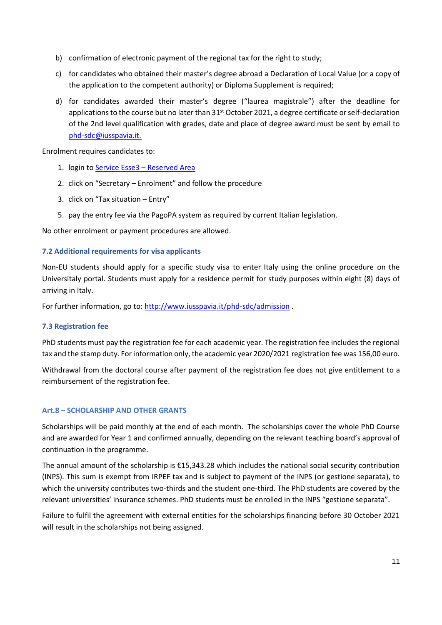- b) confirmation of electronic payment of the regional tax for the right to study;
- c) for candidates who obtained their master's degree abroad a Declaration of Local Value (or a copy of the application to the competent authority) or Diploma Supplement is required;
- d) for candidates awarded their master's degree ("laurea magistrale") after the deadline for applications to the course but no later than  $31<sup>st</sup>$  October 2021, a degree certificate or self-declaration of the 2nd level qualification with grades, date and place of degree award must be sent by email to [phd-sdc@iusspavia.it.](mailto:phd-sdc@iusspavia.it)

Enrolment requires candidates to:

- 1. login t[o Service Esse3](https://iusspavia.esse3.cineca.it./Home.do;jsessionid=091C1C7E34C211DF64CCED3B8A6A3FAD.esse3-iusspavia-prod-01?cod_lingua=eng)  Reserved Area
- 2. click on "Secretary Enrolment" and follow the procedure
- 3. click on "Tax situation Entry"
- 5. pay the entry fee via the PagoPA system as required by current Italian legislation.

No other enrolment or payment procedures are allowed.

#### <span id="page-10-0"></span>**7.2 Additional requirements for visa applicants**

Non-EU students should apply for a specific study visa to enter Italy using the online procedure on the Universitaly portal. Students must apply for a residence permit for study purposes within eight (8) days of arriving in Italy.

<span id="page-10-1"></span>For further information, go to:<http://www.iusspavia.it/phd-sdc/admission>.

#### **7.3 Registration fee**

PhD students must pay the registration fee for each academic year. The registration fee includes the regional tax and the stamp duty. For information only, the academic year 2020/2021 registration fee was 156,00 euro.

Withdrawal from the doctoral course after payment of the registration fee does not give entitlement to a reimbursement of the registration fee.

#### <span id="page-10-2"></span>**Art.8 – SCHOLARSHIP AND OTHER GRANTS**

Scholarships will be paid monthly at the end of each month. The scholarships cover the whole PhD Course and are awarded for Year 1 and confirmed annually, depending on the relevant teaching board's approval of continuation in the programme.

The annual amount of the scholarship is €15,343.28 which includes the national social security contribution (INPS). This sum is exempt from IRPEF tax and is subject to payment of the INPS (or gestione separata), to which the university contributes two-thirds and the student one-third. The PhD students are covered by the relevant universities' insurance schemes. PhD students must be enrolled in the INPS "gestione separata".

Failure to fulfil the agreement with external entities for the scholarships financing before 30 October 2021 will result in the scholarships not being assigned.